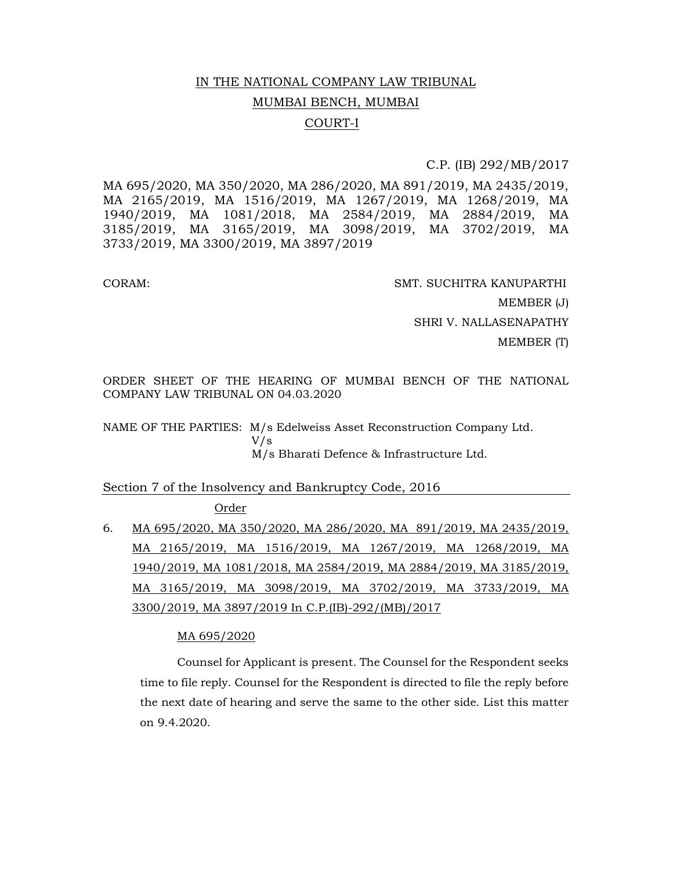# IN THE NATIONAL COMPANY LAW TRIBUNAL MUMBAI BENCH, MUMBAI COURT-I

# C.P. (IB) 292/MB/2017

MA 695/2020, MA 350/2020, MA 286/2020, MA 891/2019, MA 2435/2019, MA 2165/2019, MA 1516/2019, MA 1267/2019, MA 1268/2019, MA 1940/2019, MA 1081/2018, MA 2584/2019, MA 2884/2019, MA 3185/2019, MA 3165/2019, MA 3098/2019, MA 3702/2019, MA 3733/2019, MA 3300/2019, MA 3897/2019

CORAM: SMT. SUCHITRA KANUPARTHI MEMBER (J) SHRI V. NALLASENAPATHY MEMBER (T)

ORDER SHEET OF THE HEARING OF MUMBAI BENCH OF THE NATIONAL COMPANY LAW TRIBUNAL ON 04.03.2020

NAME OF THE PARTIES: M/s Edelweiss Asset Reconstruction Company Ltd. V/s M/s Bharati Defence & Infrastructure Ltd.

# Section 7 of the Insolvency and Bankruptcy Code, 2016

**Order** 

6. MA 695/2020, MA 350/2020, MA 286/2020, MA 891/2019, MA 2435/2019, MA 2165/2019, MA 1516/2019, MA 1267/2019, MA 1268/2019, MA 1940/2019, MA 1081/2018, MA 2584/2019, MA 2884/2019, MA 3185/2019, MA 3165/2019, MA 3098/2019, MA 3702/2019, MA 3733/2019, MA 3300/2019, MA 3897/2019 In C.P.(IB)-292/(MB)/2017

# MA 695/2020

Counsel for Applicant is present. The Counsel for the Respondent seeks time to file reply. Counsel for the Respondent is directed to file the reply before the next date of hearing and serve the same to the other side. List this matter on 9.4.2020.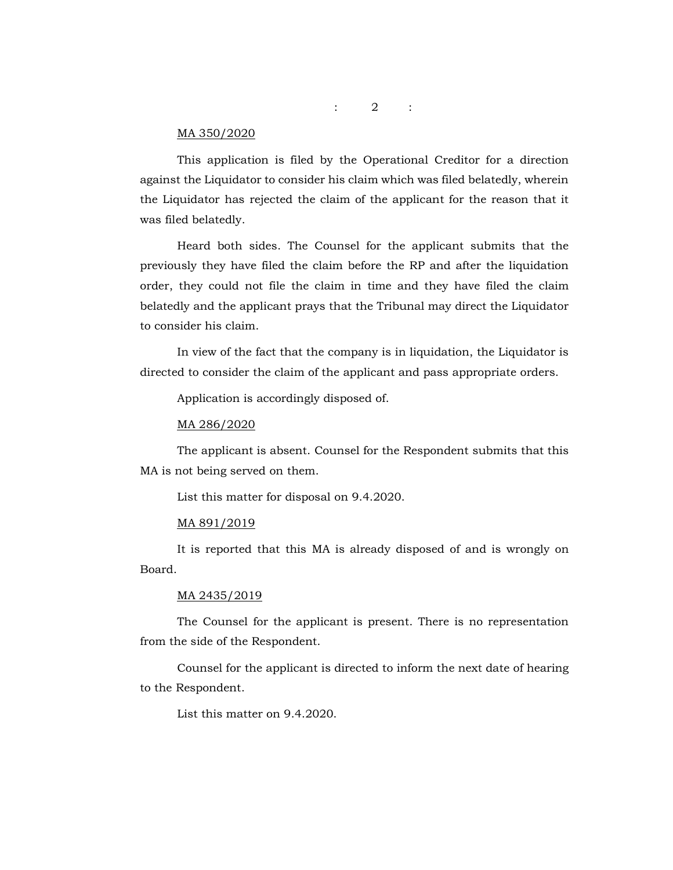:  $2$  :

#### MA 350/2020

This application is filed by the Operational Creditor for a direction against the Liquidator to consider his claim which was filed belatedly, wherein the Liquidator has rejected the claim of the applicant for the reason that it was filed belatedly.

Heard both sides. The Counsel for the applicant submits that the previously they have filed the claim before the RP and after the liquidation order, they could not file the claim in time and they have filed the claim belatedly and the applicant prays that the Tribunal may direct the Liquidator to consider his claim.

In view of the fact that the company is in liquidation, the Liquidator is directed to consider the claim of the applicant and pass appropriate orders.

Application is accordingly disposed of.

#### MA 286/2020

The applicant is absent. Counsel for the Respondent submits that this MA is not being served on them.

List this matter for disposal on 9.4.2020.

#### MA 891/2019

It is reported that this MA is already disposed of and is wrongly on Board.

#### MA 2435/2019

The Counsel for the applicant is present. There is no representation from the side of the Respondent.

Counsel for the applicant is directed to inform the next date of hearing to the Respondent.

List this matter on 9.4.2020.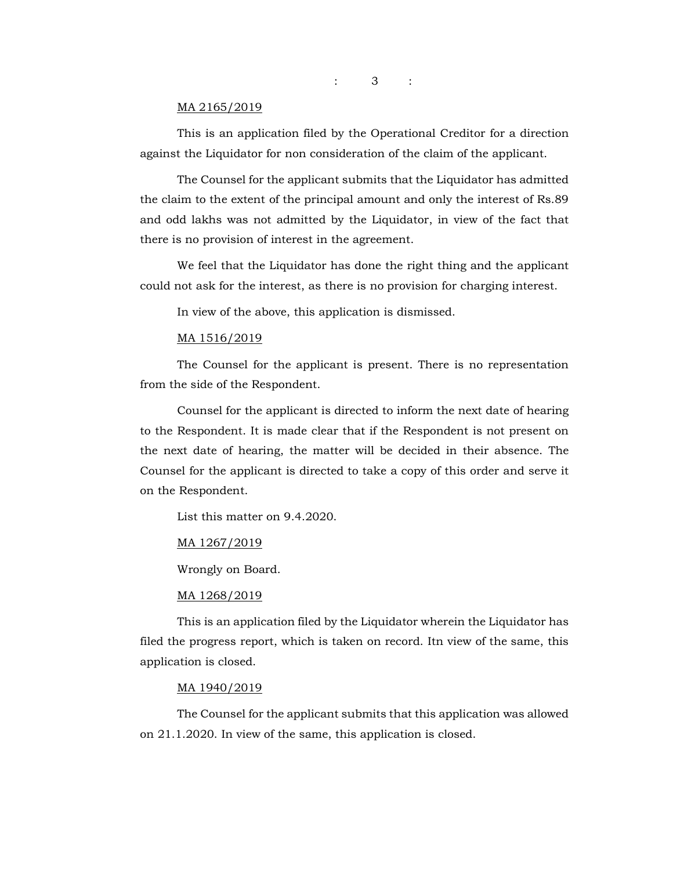: 3 :

#### MA 2165/2019

This is an application filed by the Operational Creditor for a direction against the Liquidator for non consideration of the claim of the applicant.

The Counsel for the applicant submits that the Liquidator has admitted the claim to the extent of the principal amount and only the interest of Rs.89 and odd lakhs was not admitted by the Liquidator, in view of the fact that there is no provision of interest in the agreement.

We feel that the Liquidator has done the right thing and the applicant could not ask for the interest, as there is no provision for charging interest.

In view of the above, this application is dismissed.

#### MA 1516/2019

The Counsel for the applicant is present. There is no representation from the side of the Respondent.

Counsel for the applicant is directed to inform the next date of hearing to the Respondent. It is made clear that if the Respondent is not present on the next date of hearing, the matter will be decided in their absence. The Counsel for the applicant is directed to take a copy of this order and serve it on the Respondent.

List this matter on 9.4.2020.

### MA 1267/2019

Wrongly on Board.

#### MA 1268/2019

This is an application filed by the Liquidator wherein the Liquidator has filed the progress report, which is taken on record. Itn view of the same, this application is closed.

#### MA 1940/2019

The Counsel for the applicant submits that this application was allowed on 21.1.2020. In view of the same, this application is closed.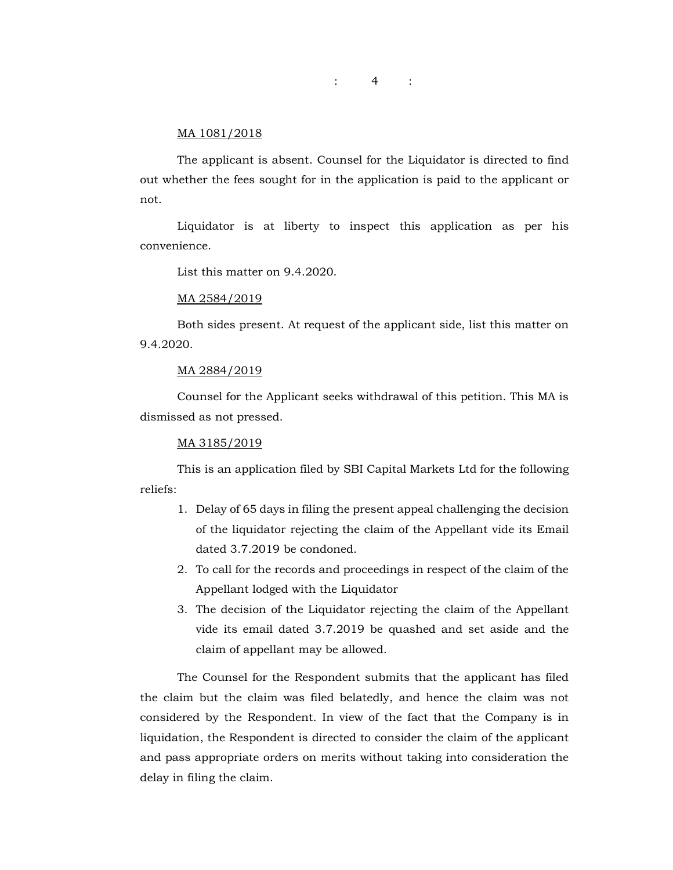$\therefore$  4 :

#### MA 1081/2018

The applicant is absent. Counsel for the Liquidator is directed to find out whether the fees sought for in the application is paid to the applicant or not.

Liquidator is at liberty to inspect this application as per his convenience.

List this matter on 9.4.2020.

#### MA 2584/2019

Both sides present. At request of the applicant side, list this matter on 9.4.2020.

#### MA 2884/2019

Counsel for the Applicant seeks withdrawal of this petition. This MA is dismissed as not pressed.

#### MA 3185/2019

This is an application filed by SBI Capital Markets Ltd for the following reliefs:

- 1. Delay of 65 days in filing the present appeal challenging the decision of the liquidator rejecting the claim of the Appellant vide its Email dated 3.7.2019 be condoned.
- 2. To call for the records and proceedings in respect of the claim of the Appellant lodged with the Liquidator
- 3. The decision of the Liquidator rejecting the claim of the Appellant vide its email dated 3.7.2019 be quashed and set aside and the claim of appellant may be allowed.

The Counsel for the Respondent submits that the applicant has filed the claim but the claim was filed belatedly, and hence the claim was not considered by the Respondent. In view of the fact that the Company is in liquidation, the Respondent is directed to consider the claim of the applicant and pass appropriate orders on merits without taking into consideration the delay in filing the claim.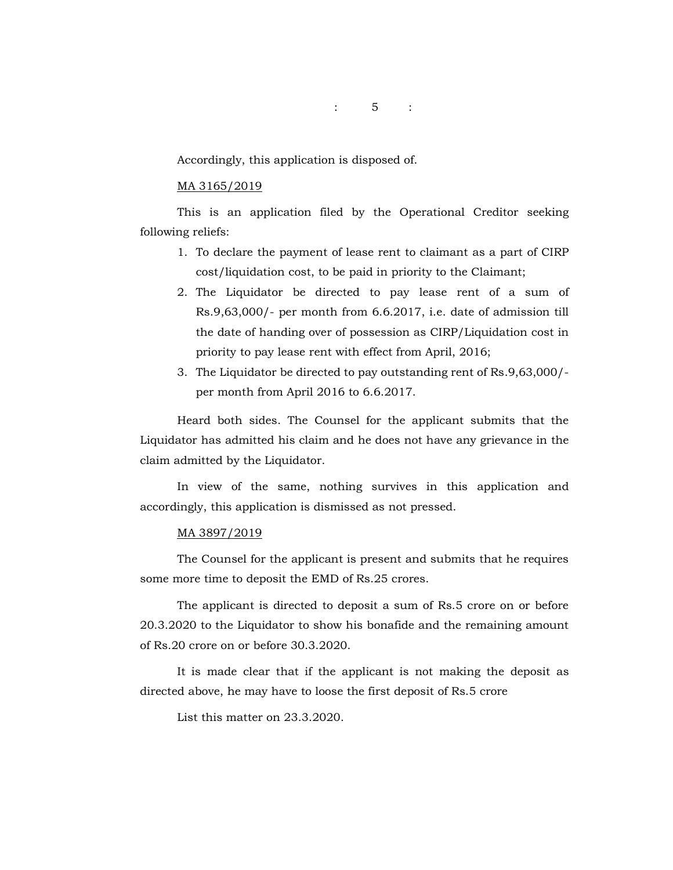: 5 :

Accordingly, this application is disposed of.

#### MA 3165/2019

This is an application filed by the Operational Creditor seeking following reliefs:

- 1. To declare the payment of lease rent to claimant as a part of CIRP cost/liquidation cost, to be paid in priority to the Claimant;
- 2. The Liquidator be directed to pay lease rent of a sum of Rs.9,63,000/- per month from 6.6.2017, i.e. date of admission till the date of handing over of possession as CIRP/Liquidation cost in priority to pay lease rent with effect from April, 2016;
- 3. The Liquidator be directed to pay outstanding rent of Rs.9,63,000/ per month from April 2016 to 6.6.2017.

Heard both sides. The Counsel for the applicant submits that the Liquidator has admitted his claim and he does not have any grievance in the claim admitted by the Liquidator.

In view of the same, nothing survives in this application and accordingly, this application is dismissed as not pressed.

#### MA 3897/2019

The Counsel for the applicant is present and submits that he requires some more time to deposit the EMD of Rs.25 crores.

The applicant is directed to deposit a sum of Rs.5 crore on or before 20.3.2020 to the Liquidator to show his bonafide and the remaining amount of Rs.20 crore on or before 30.3.2020.

It is made clear that if the applicant is not making the deposit as directed above, he may have to loose the first deposit of Rs.5 crore

List this matter on 23.3.2020.